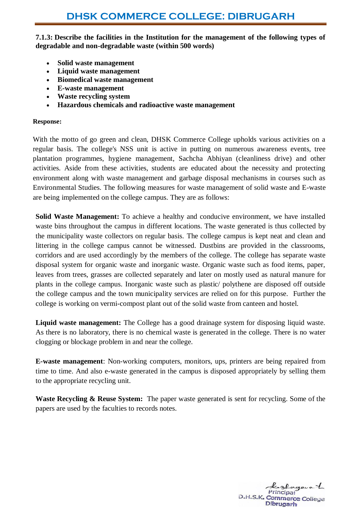**7.1.3: Describe the facilities in the Institution for the management of the following types of degradable and non-degradable waste (within 500 words)**

- **Solid waste management**
- **Liquid waste management**
- **Biomedical waste management**
- **E-waste management**
- **Waste recycling system**
- **Hazardous chemicals and radioactive waste management**

## **Response[:](javascript:void()**

With the motto of go green and clean, DHSK Commerce College upholds various activities on a regular basis. The college's NSS unit is active in putting on numerous awareness events, tree plantation programmes, hygiene management, Sachcha Abhiyan (cleanliness drive) and other activities. Aside from these activities, students are educated about the necessity and protecting environment along with waste management and garbage disposal mechanisms in courses such as Environmental Studies. The following measures for waste management of solid waste and E-waste are being implemented on the college campus. They are as follows:

**Solid Waste Management:** To achieve a healthy and conducive environment, we have installed waste bins throughout the campus in different locations. The waste generated is thus collected by the municipality waste collectors on regular basis. The college campus is kept neat and clean and littering in the college campus cannot be witnessed. Dustbins are provided in the classrooms, corridors and are used accordingly by the members of the college. The college has separate waste disposal system for organic waste and inorganic waste. Organic waste such as food items, paper, leaves from trees, grasses are collected separately and later on mostly used as natural manure for plants in the college campus. Inorganic waste such as plastic/ polythene are disposed off outside the college campus and the town municipality services are relied on for this purpose. Further the college is working on vermi-compost plant out of the solid waste from canteen and hostel.

**Liquid waste management:** The College has a good drainage system for disposing liquid waste. As there is no laboratory, there is no chemical waste is generated in the college. There is no water clogging or blockage problem in and near the college.

**E-waste management**: Non-working computers, monitors, ups, printers are being repaired from time to time. And also e-waste generated in the campus is disposed appropriately by selling them to the appropriate recycling unit.

Waste Recycling & Reuse System: The paper waste generated is sent for recycling. Some of the papers are used by the faculties to records notes.

Laglagava 1 D.H.S.K. Commerce College Dibrugarh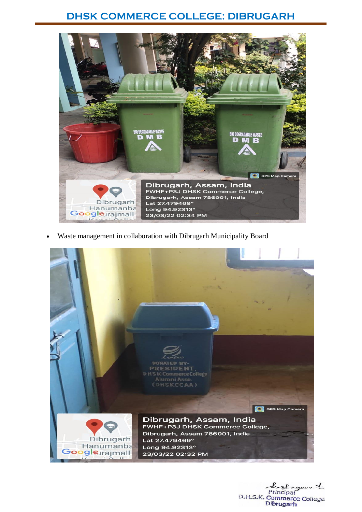## **DHSK COMMERCE COLLEGE: DIBRUGARH**



Waste management in collaboration with Dibrugarh Municipality Board



Principal D.H.S.K. Commerce College Dibrugarh